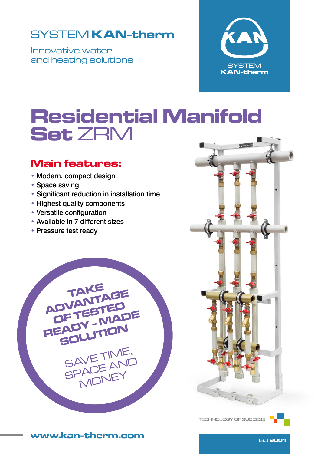## SYSTEM **KAN-therm**

Innovative water and heating solutions



# Residential Manifold Set ZRM

### Main features:

- Modern, compact design
- Space saving
- Significant reduction in installation time
- Highest quality components
- Versatile configuration
- Available in 7 different sizes
- Pressure test ready





TECHNOLOGY OF SUCCESS



www.kan-therm.com **ISO 9001**